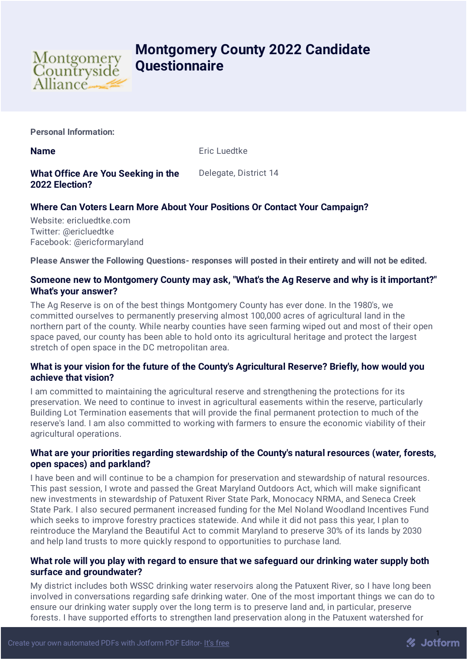

# **Montgomery County 2022 Candidate Questionnaire**

**Personal Information:**

**Name** Eric Luedtke

**What Office Are You Seeking in the 2022 Election?** Delegate, District 14

# **Where Can Voters Learn More About Your Positions Or Contact Your Campaign?**

Website: ericluedtke.com Twitter: @ericluedtke Facebook: @ericformaryland

**Please Answer the Following Questions- responses will posted in their entirety and will not be edited.**

## **Someone new to Montgomery County may ask, "What's the Ag Reserve and why is it important?" What's your answer?**

The Ag Reserve is on of the best things Montgomery County has ever done. In the 1980's, we committed ourselves to permanently preserving almost 100,000 acres of agricultural land in the northern part of the county. While nearby counties have seen farming wiped out and most of their open space paved, our county has been able to hold onto its agricultural heritage and protect the largest stretch of open space in the DC metropolitan area.

# **What is your vision for the future of the County's Agricultural Reserve? Briefly, how would you achieve that vision?**

I am committed to maintaining the agricultural reserve and strengthening the protections for its preservation. We need to continue to invest in agricultural easements within the reserve, particularly Building Lot Termination easements that will provide the final permanent protection to much of the reserve's land. I am also committed to working with farmers to ensure the economic viability of their agricultural operations.

## **What are your priorities regarding stewardship of the County's natural resources (water, forests, open spaces) and parkland?**

I have been and will continue to be a champion for preservation and stewardship of natural resources. This past session, I wrote and passed the Great Maryland Outdoors Act, which will make significant new investments in stewardship of Patuxent River State Park, Monocacy NRMA, and Seneca Creek State Park. I also secured permanent increased funding for the Mel Noland Woodland Incentives Fund which seeks to improve forestry practices statewide. And while it did not pass this year, I plan to reintroduce the Maryland the Beautiful Act to commit Maryland to preserve 30% of its lands by 2030 and help land trusts to more quickly respond to opportunities to purchase land.

## **What role will you play with regard to ensure that we safeguard our drinking water supply both surface and groundwater?**

My district includes both WSSC drinking water reservoirs along the Patuxent River, so I have long been involved in conversations regarding safe drinking water. One of the most important things we can do to ensure our drinking water supply over the long term is to preserve land and, in particular, preserve forests. I have supported efforts to strengthen land preservation along in the Patuxent watershed for